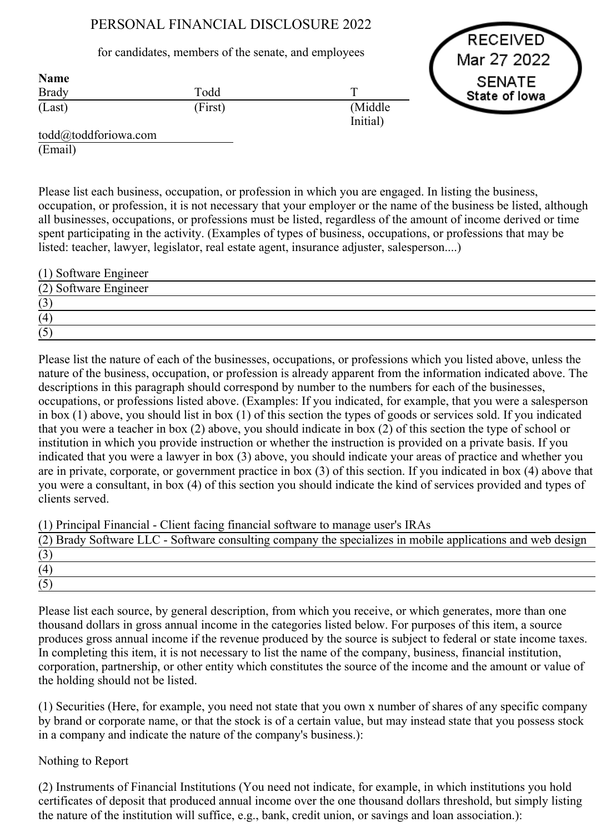# PERSONAL FINANCIAL DISCLOSURE 2022

for candidates, members of the senate, and employees

RECEIVED Mar 27 2022 **SENATE** State of lowa

| Name         |         |                     |
|--------------|---------|---------------------|
| <b>Brady</b> | Todd    |                     |
| (Last)       | (First) | (Middle<br>Initial) |

todd@toddforiowa.com (Email)

Name

Please list each business, occupation, or profession in which you are engaged. In listing the business, occupation, or profession, it is not necessary that your employer or the name of the business be listed, although all businesses, occupations, or professions must be listed, regardless of the amount of income derived or time spent participating in the activity. (Examples of types of business, occupations, or professions that may be listed: teacher, lawyer, legislator, real estate agent, insurance adjuster, salesperson....)

| (1) Software Engineer |  |
|-----------------------|--|
| (2) Software Engineer |  |
| (3)                   |  |
| (4)                   |  |
| (5)                   |  |

Please list the nature of each of the businesses, occupations, or professions which you listed above, unless the nature of the business, occupation, or profession is already apparent from the information indicated above. The descriptions in this paragraph should correspond by number to the numbers for each of the businesses, occupations, or professions listed above. (Examples: If you indicated, for example, that you were a salesperson in box (1) above, you should list in box (1) of this section the types of goods or services sold. If you indicated that you were a teacher in box (2) above, you should indicate in box (2) of this section the type of school or institution in which you provide instruction or whether the instruction is provided on a private basis. If you indicated that you were a lawyer in box (3) above, you should indicate your areas of practice and whether you are in private, corporate, or government practice in box (3) of this section. If you indicated in box (4) above that you were a consultant, in box (4) of this section you should indicate the kind of services provided and types of clients served.

(1) Principal Financial Client facing financial software to manage user's IRAs

| (2) Brady Software LLC - Software consulting company the specializes in mobile applications and web design |  |
|------------------------------------------------------------------------------------------------------------|--|
|                                                                                                            |  |
| (4)                                                                                                        |  |
|                                                                                                            |  |

Please list each source, by general description, from which you receive, or which generates, more than one thousand dollars in gross annual income in the categories listed below. For purposes of this item, a source produces gross annual income if the revenue produced by the source is subject to federal or state income taxes. In completing this item, it is not necessary to list the name of the company, business, financial institution, corporation, partnership, or other entity which constitutes the source of the income and the amount or value of the holding should not be listed.

(1) Securities (Here, for example, you need not state that you own x number of shares of any specific company by brand or corporate name, or that the stock is of a certain value, but may instead state that you possess stock in a company and indicate the nature of the company's business.):

# Nothing to Report

(2) Instruments of Financial Institutions (You need not indicate, for example, in which institutions you hold certificates of deposit that produced annual income over the one thousand dollars threshold, but simply listing the nature of the institution will suffice, e.g., bank, credit union, or savings and loan association.):